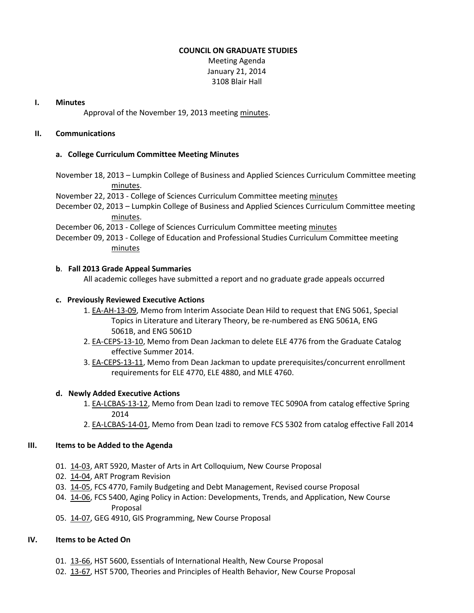#### **COUNCIL ON GRADUATE STUDIES**

Meeting Agenda January 21, 2014 3108 Blair Hall

#### **I. Minutes**

Approval of the November 19, 2013 meeting [minutes.](http://castle.eiu.edu/eiucgs/currentminutes/Minutes11-19-13.pdf)

# **II. Communications**

#### **a. College Curriculum Committee Meeting Minutes**

- November 18, 2013 Lumpkin College of Business and Applied Sciences Curriculum Committee meeting [minutes.](http://castle.eiu.edu/~eiucgs/currentagendaitems/LCBASMin11-18-13.pdf)
- November 22, 2013 College of Sciences Curriculum Committee meeting [minutes](http://castle.eiu.edu/~eiucgs/currentagendaitems/COSMin11-22-13.pdf)
- December 02, 2013 Lumpkin College of Business and Applied Sciences Curriculum Committee meeting [minutes.](http://castle.eiu.edu/~eiucgs/currentagendaitems/LCBASMin12-02-13.pdf)
- December 06, 2013 College of Sciences Curriculum Committee meeting [minutes](http://castle.eiu.edu/~eiucgs/currentagendaitems/COSMin12-06-13.pdf)
- December 09, 2013 College of Education and Professional Studies Curriculum Committee meeting [minutes](http://castle.eiu.edu/~eiucgs/currentagendaitems/CEPSMin12-09-13.pdf)

#### **b**. **Fall 2013 Grade Appeal Summaries**

All academic colleges have submitted a report and no graduate grade appeals occurred

#### **c. Previously Reviewed Executive Actions**

- 1. [EA-AH-13-09,](http://castle.eiu.edu/~eiucgs/exec-actions/EA-AH-13-09.pdf) Memo from Interim Associate Dean Hild to request that ENG 5061, Special Topics in Literature and Literary Theory, be re-numbered as ENG 5061A, ENG 5061B, and ENG 5061D
- 2. [EA-CEPS-13-10,](http://castle.eiu.edu/~eiucgs/exec-actions/EA-CEPS-13-10.pdf) Memo from Dean Jackman to delete ELE 4776 from the Graduate Catalog effective Summer 2014.
- 3. [EA-CEPS-13-11,](http://castle.eiu.edu/~eiucgs/exec-actions/EA-CEPS-13-11.pdf) Memo from Dean Jackman to update prerequisites/concurrent enrollment requirements for ELE 4770, ELE 4880, and MLE 4760.

# **d. Newly Added Executive Actions**

- 1. [EA-LCBAS-13-12,](http://castle.eiu.edu/~eiucgs/exec-actions/EA-LCBAS-13-12.pdf) Memo from Dean Izadi to remove TEC 5090A from catalog effective Spring 2014
- 2. [EA-LCBAS-14-01,](http://castle.eiu.edu/~eiucgs/exec-actions/EA-LCBAS-14-01.pdf) Memo from Dean Izadi to remove FCS 5302 from catalog effective Fall 2014

# **III. Items to be Added to the Agenda**

- 01. [14-03,](http://castle.eiu.edu/~eiucgs/currentagendaitems/agenda14-03.pdf) ART 5920, Master of Arts in Art Colloquium, New Course Proposal
- 02. [14-04,](http://castle.eiu.edu/~eiucgs/currentagendaitems/agenda14-04.pdf) ART Program Revision
- 03. [14-05,](http://castle.eiu.edu/~eiucgs/currentagendaitems/agenda14-05.pdf) FCS 4770, Family Budgeting and Debt Management, Revised course Proposal
- 04. [14-06,](http://castle.eiu.edu/~eiucgs/currentagendaitems/agenda14-06.pdf) FCS 5400, Aging Policy in Action: Developments, Trends, and Application, New Course Proposal
- 05. [14-07,](http://castle.eiu.edu/~eiucgs/currentagendaitems/agenda14-07.pdf) GEG 4910, GIS Programming, New Course Proposal

# **IV. Items to be Acted On**

- 01. [13-66,](http://castle.eiu.edu/~eiucgs/currentagendaitems/agenda13-66.pdf) HST 5600, Essentials of International Health, New Course Proposal
- 02. [13-67,](http://castle.eiu.edu/~eiucgs/currentagendaitems/agenda13-67.pdf) HST 5700, Theories and Principles of Health Behavior, New Course Proposal